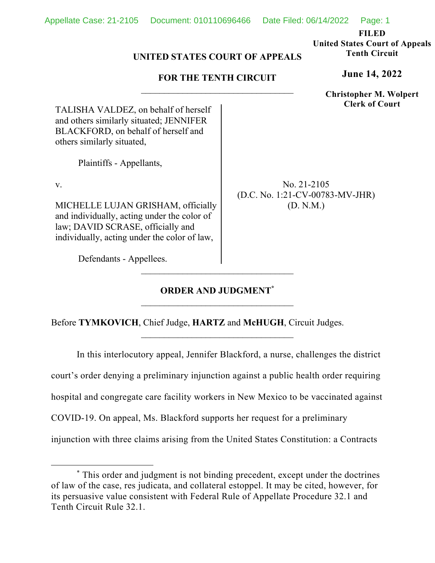**FILED** 

**United States Court of Appeals Tenth Circuit** 

# **UNITED STATES COURT OF APPEALS**

# **FOR THE TENTH CIRCUIT**

**Christopher M. Wolpert Clerk of Court**

TALISHA VALDEZ, on behalf of herself and others similarly situated; JENNIFER BLACKFORD, on behalf of herself and others similarly situated,

Plaintiffs - Appellants,

v.

MICHELLE LUJAN GRISHAM, officially and individually, acting under the color of law; DAVID SCRASE, officially and individually, acting under the color of law,

Defendants - Appellees.

No. 21-2105 (D.C. No. 1:21-CV-00783-MV-JHR) (D. N.M.)

# **ORDER AND JUDGMENT\***

 $\mathcal{L}_\text{max}$ 

Before **TYMKOVICH**, Chief Judge, **HARTZ** and **McHUGH**, Circuit Judges.

In this interlocutory appeal, Jennifer Blackford, a nurse, challenges the district court's order denying a preliminary injunction against a public health order requiring hospital and congregate care facility workers in New Mexico to be vaccinated against COVID-19. On appeal, Ms. Blackford supports her request for a preliminary injunction with three claims arising from the United States Constitution: a Contracts

**June 14, 2022**

<sup>\*</sup> This order and judgment is not binding precedent, except under the doctrines of law of the case, res judicata, and collateral estoppel. It may be cited, however, for its persuasive value consistent with Federal Rule of Appellate Procedure 32.1 and Tenth Circuit Rule 32.1.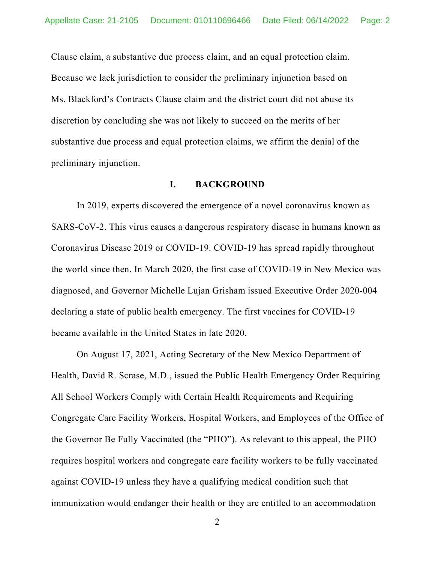Clause claim, a substantive due process claim, and an equal protection claim. Because we lack jurisdiction to consider the preliminary injunction based on Ms. Blackford's Contracts Clause claim and the district court did not abuse its discretion by concluding she was not likely to succeed on the merits of her substantive due process and equal protection claims, we affirm the denial of the preliminary injunction.

### **I. BACKGROUND**

In 2019, experts discovered the emergence of a novel coronavirus known as SARS-CoV-2. This virus causes a dangerous respiratory disease in humans known as Coronavirus Disease 2019 or COVID-19. COVID-19 has spread rapidly throughout the world since then. In March 2020, the first case of COVID-19 in New Mexico was diagnosed, and Governor Michelle Lujan Grisham issued Executive Order 2020-004 declaring a state of public health emergency. The first vaccines for COVID-19 became available in the United States in late 2020.

On August 17, 2021, Acting Secretary of the New Mexico Department of Health, David R. Scrase, M.D., issued the Public Health Emergency Order Requiring All School Workers Comply with Certain Health Requirements and Requiring Congregate Care Facility Workers, Hospital Workers, and Employees of the Office of the Governor Be Fully Vaccinated (the "PHO"). As relevant to this appeal, the PHO requires hospital workers and congregate care facility workers to be fully vaccinated against COVID-19 unless they have a qualifying medical condition such that immunization would endanger their health or they are entitled to an accommodation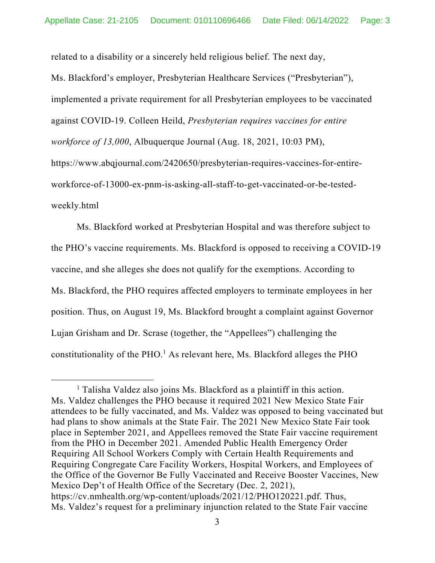related to a disability or a sincerely held religious belief. The next day,

Ms. Blackford's employer, Presbyterian Healthcare Services ("Presbyterian"), implemented a private requirement for all Presbyterian employees to be vaccinated against COVID-19. Colleen Heild, *Presbyterian requires vaccines for entire workforce of 13,000*, Albuquerque Journal (Aug. 18, 2021, 10:03 PM), https://www.abqjournal.com/2420650/presbyterian-requires-vaccines-for-entireworkforce-of-13000-ex-pnm-is-asking-all-staff-to-get-vaccinated-or-be-testedweekly.html

Ms. Blackford worked at Presbyterian Hospital and was therefore subject to the PHO's vaccine requirements. Ms. Blackford is opposed to receiving a COVID-19 vaccine, and she alleges she does not qualify for the exemptions. According to Ms. Blackford, the PHO requires affected employers to terminate employees in her position. Thus, on August 19, Ms. Blackford brought a complaint against Governor Lujan Grisham and Dr. Scrase (together, the "Appellees") challenging the constitutionality of the PHO.<sup>1</sup> As relevant here, Ms. Blackford alleges the PHO

<sup>&</sup>lt;sup>1</sup> Talisha Valdez also joins Ms. Blackford as a plaintiff in this action. Ms. Valdez challenges the PHO because it required 2021 New Mexico State Fair attendees to be fully vaccinated, and Ms. Valdez was opposed to being vaccinated but had plans to show animals at the State Fair. The 2021 New Mexico State Fair took place in September 2021, and Appellees removed the State Fair vaccine requirement from the PHO in December 2021. Amended Public Health Emergency Order Requiring All School Workers Comply with Certain Health Requirements and Requiring Congregate Care Facility Workers, Hospital Workers, and Employees of the Office of the Governor Be Fully Vaccinated and Receive Booster Vaccines, New Mexico Dep't of Health Office of the Secretary (Dec. 2, 2021), https://cv.nmhealth.org/wp-content/uploads/2021/12/PHO120221.pdf. Thus, Ms. Valdez's request for a preliminary injunction related to the State Fair vaccine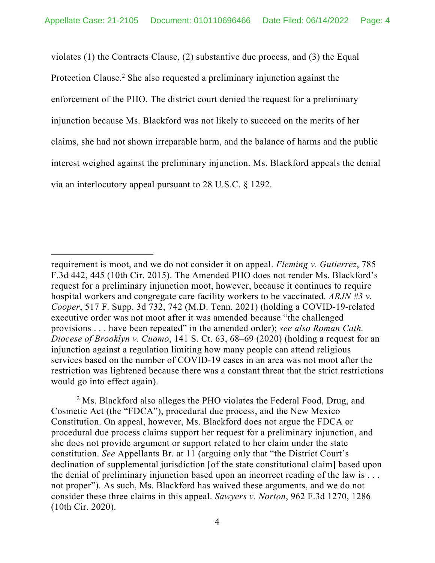violates (1) the Contracts Clause, (2) substantive due process, and (3) the Equal Protection Clause.<sup>2</sup> She also requested a preliminary injunction against the enforcement of the PHO. The district court denied the request for a preliminary injunction because Ms. Blackford was not likely to succeed on the merits of her claims, she had not shown irreparable harm, and the balance of harms and the public interest weighed against the preliminary injunction. Ms. Blackford appeals the denial via an interlocutory appeal pursuant to 28 U.S.C. § 1292.

<sup>2</sup> Ms. Blackford also alleges the PHO violates the Federal Food, Drug, and Cosmetic Act (the "FDCA"), procedural due process, and the New Mexico Constitution. On appeal, however, Ms. Blackford does not argue the FDCA or procedural due process claims support her request for a preliminary injunction, and she does not provide argument or support related to her claim under the state constitution. *See* Appellants Br. at 11 (arguing only that "the District Court's declination of supplemental jurisdiction [of the state constitutional claim] based upon the denial of preliminary injunction based upon an incorrect reading of the law is . . . not proper"). As such, Ms. Blackford has waived these arguments, and we do not consider these three claims in this appeal. *Sawyers v. Norton*, 962 F.3d 1270, 1286 (10th Cir. 2020).

requirement is moot, and we do not consider it on appeal. *Fleming v. Gutierrez*, 785 F.3d 442, 445 (10th Cir. 2015). The Amended PHO does not render Ms. Blackford's request for a preliminary injunction moot, however, because it continues to require hospital workers and congregate care facility workers to be vaccinated. *ARJN #3 v. Cooper*, 517 F. Supp. 3d 732, 742 (M.D. Tenn. 2021) (holding a COVID-19-related executive order was not moot after it was amended because "the challenged provisions . . . have been repeated" in the amended order); *see also Roman Cath. Diocese of Brooklyn v. Cuomo*, 141 S. Ct. 63, 68–69 (2020) (holding a request for an injunction against a regulation limiting how many people can attend religious services based on the number of COVID-19 cases in an area was not moot after the restriction was lightened because there was a constant threat that the strict restrictions would go into effect again).

<sup>4</sup>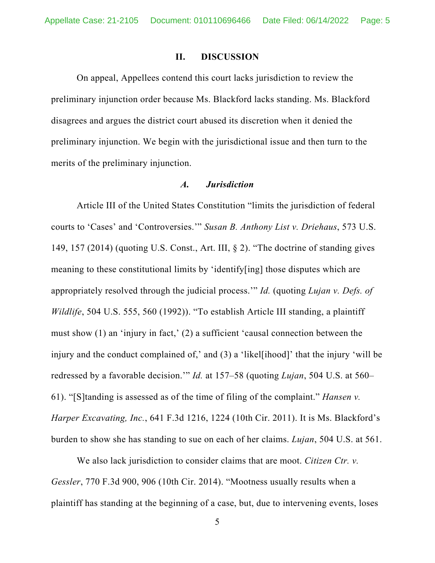#### **II. DISCUSSION**

On appeal, Appellees contend this court lacks jurisdiction to review the preliminary injunction order because Ms. Blackford lacks standing. Ms. Blackford disagrees and argues the district court abused its discretion when it denied the preliminary injunction. We begin with the jurisdictional issue and then turn to the merits of the preliminary injunction.

#### *A. Jurisdiction*

Article III of the United States Constitution "limits the jurisdiction of federal courts to 'Cases' and 'Controversies.'" *Susan B. Anthony List v. Driehaus*, 573 U.S. 149, 157 (2014) (quoting U.S. Const., Art. III, § 2). "The doctrine of standing gives meaning to these constitutional limits by 'identify[ing] those disputes which are appropriately resolved through the judicial process.'" *Id.* (quoting *Lujan v. Defs. of Wildlife*, 504 U.S. 555, 560 (1992)). "To establish Article III standing, a plaintiff must show (1) an 'injury in fact,' (2) a sufficient 'causal connection between the injury and the conduct complained of,' and (3) a 'likel[ihood]' that the injury 'will be redressed by a favorable decision.'" *Id.* at 157–58 (quoting *Lujan*, 504 U.S. at 560– 61). "[S]tanding is assessed as of the time of filing of the complaint." *Hansen v. Harper Excavating, Inc.*, 641 F.3d 1216, 1224 (10th Cir. 2011). It is Ms. Blackford's burden to show she has standing to sue on each of her claims. *Lujan*, 504 U.S. at 561.

We also lack jurisdiction to consider claims that are moot. *Citizen Ctr. v. Gessler*, 770 F.3d 900, 906 (10th Cir. 2014). "Mootness usually results when a plaintiff has standing at the beginning of a case, but, due to intervening events, loses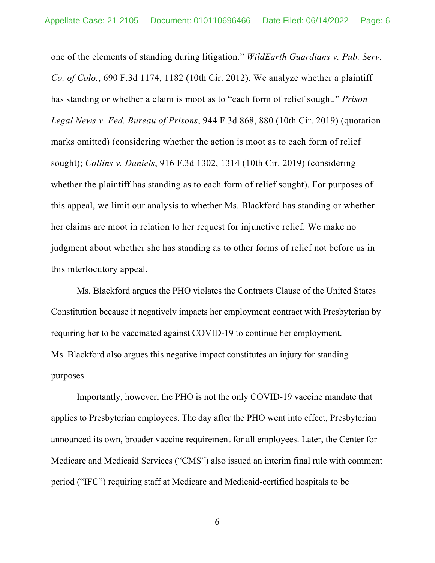one of the elements of standing during litigation." *WildEarth Guardians v. Pub. Serv. Co. of Colo.*, 690 F.3d 1174, 1182 (10th Cir. 2012). We analyze whether a plaintiff has standing or whether a claim is moot as to "each form of relief sought." *Prison Legal News v. Fed. Bureau of Prisons*, 944 F.3d 868, 880 (10th Cir. 2019) (quotation marks omitted) (considering whether the action is moot as to each form of relief sought); *Collins v. Daniels*, 916 F.3d 1302, 1314 (10th Cir. 2019) (considering whether the plaintiff has standing as to each form of relief sought). For purposes of this appeal, we limit our analysis to whether Ms. Blackford has standing or whether her claims are moot in relation to her request for injunctive relief. We make no judgment about whether she has standing as to other forms of relief not before us in this interlocutory appeal.

Ms. Blackford argues the PHO violates the Contracts Clause of the United States Constitution because it negatively impacts her employment contract with Presbyterian by requiring her to be vaccinated against COVID-19 to continue her employment. Ms. Blackford also argues this negative impact constitutes an injury for standing purposes.

Importantly, however, the PHO is not the only COVID-19 vaccine mandate that applies to Presbyterian employees. The day after the PHO went into effect, Presbyterian announced its own, broader vaccine requirement for all employees. Later, the Center for Medicare and Medicaid Services ("CMS") also issued an interim final rule with comment period ("IFC") requiring staff at Medicare and Medicaid-certified hospitals to be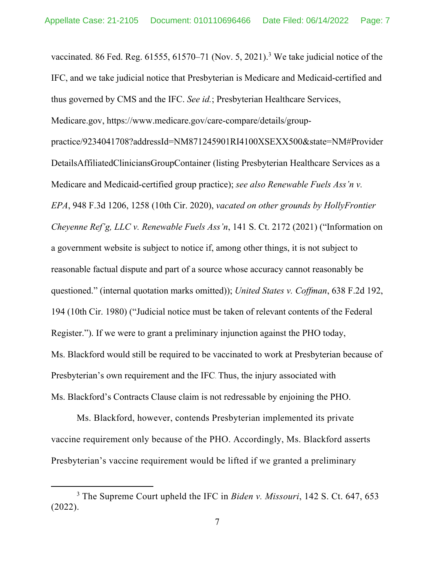vaccinated. 86 Fed. Reg.  $61555, 61570-71$  (Nov. 5, 2021).<sup>3</sup> We take judicial notice of the IFC, and we take judicial notice that Presbyterian is Medicare and Medicaid-certified and thus governed by CMS and the IFC. *See id.*; Presbyterian Healthcare Services, Medicare.gov, https://www.medicare.gov/care-compare/details/grouppractice/9234041708?addressId=NM871245901RI4100XSEXX500&state=NM#Provider DetailsAffiliatedCliniciansGroupContainer (listing Presbyterian Healthcare Services as a Medicare and Medicaid-certified group practice); *see also Renewable Fuels Ass'n v. EPA*, 948 F.3d 1206, 1258 (10th Cir. 2020), *vacated on other grounds by HollyFrontier Cheyenne Ref'g, LLC v. Renewable Fuels Ass'n*, 141 S. Ct. 2172 (2021) ("Information on a government website is subject to notice if, among other things, it is not subject to reasonable factual dispute and part of a source whose accuracy cannot reasonably be questioned." (internal quotation marks omitted)); *United States v. Coffman*, 638 F.2d 192, 194 (10th Cir. 1980) ("Judicial notice must be taken of relevant contents of the Federal Register."). If we were to grant a preliminary injunction against the PHO today, Ms. Blackford would still be required to be vaccinated to work at Presbyterian because of Presbyterian's own requirement and the IFC. Thus, the injury associated with Ms. Blackford's Contracts Clause claim is not redressable by enjoining the PHO.

Ms. Blackford, however, contends Presbyterian implemented its private vaccine requirement only because of the PHO. Accordingly, Ms. Blackford asserts Presbyterian's vaccine requirement would be lifted if we granted a preliminary

<sup>3</sup> The Supreme Court upheld the IFC in *Biden v. Missouri*, 142 S. Ct. 647, 653 (2022).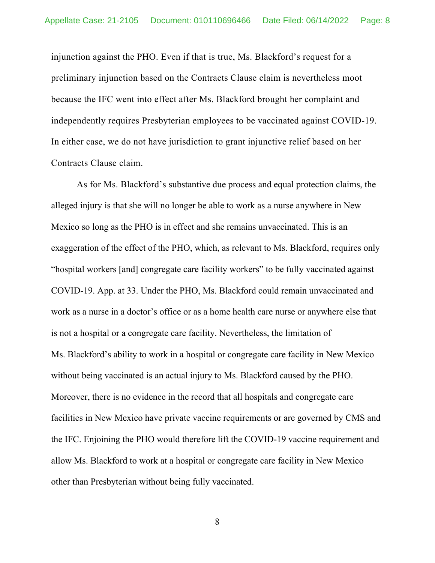injunction against the PHO. Even if that is true, Ms. Blackford's request for a preliminary injunction based on the Contracts Clause claim is nevertheless moot because the IFC went into effect after Ms. Blackford brought her complaint and independently requires Presbyterian employees to be vaccinated against COVID-19. In either case, we do not have jurisdiction to grant injunctive relief based on her Contracts Clause claim.

As for Ms. Blackford's substantive due process and equal protection claims, the alleged injury is that she will no longer be able to work as a nurse anywhere in New Mexico so long as the PHO is in effect and she remains unvaccinated. This is an exaggeration of the effect of the PHO, which, as relevant to Ms. Blackford, requires only "hospital workers [and] congregate care facility workers" to be fully vaccinated against COVID-19. App. at 33. Under the PHO, Ms. Blackford could remain unvaccinated and work as a nurse in a doctor's office or as a home health care nurse or anywhere else that is not a hospital or a congregate care facility. Nevertheless, the limitation of Ms. Blackford's ability to work in a hospital or congregate care facility in New Mexico without being vaccinated is an actual injury to Ms. Blackford caused by the PHO. Moreover, there is no evidence in the record that all hospitals and congregate care facilities in New Mexico have private vaccine requirements or are governed by CMS and the IFC. Enjoining the PHO would therefore lift the COVID-19 vaccine requirement and allow Ms. Blackford to work at a hospital or congregate care facility in New Mexico other than Presbyterian without being fully vaccinated.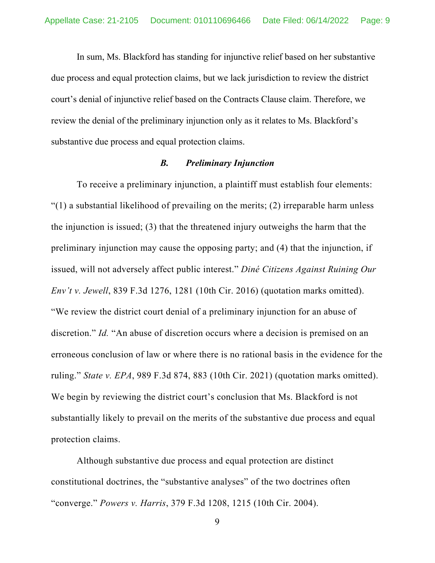In sum, Ms. Blackford has standing for injunctive relief based on her substantive due process and equal protection claims, but we lack jurisdiction to review the district court's denial of injunctive relief based on the Contracts Clause claim. Therefore, we review the denial of the preliminary injunction only as it relates to Ms. Blackford's substantive due process and equal protection claims.

#### *B. Preliminary Injunction*

To receive a preliminary injunction, a plaintiff must establish four elements: "(1) a substantial likelihood of prevailing on the merits; (2) irreparable harm unless the injunction is issued; (3) that the threatened injury outweighs the harm that the preliminary injunction may cause the opposing party; and (4) that the injunction, if issued, will not adversely affect public interest." *Diné Citizens Against Ruining Our Env't v. Jewell*, 839 F.3d 1276, 1281 (10th Cir. 2016) (quotation marks omitted). "We review the district court denial of a preliminary injunction for an abuse of discretion." *Id.* "An abuse of discretion occurs where a decision is premised on an erroneous conclusion of law or where there is no rational basis in the evidence for the ruling." *State v. EPA*, 989 F.3d 874, 883 (10th Cir. 2021) (quotation marks omitted). We begin by reviewing the district court's conclusion that Ms. Blackford is not substantially likely to prevail on the merits of the substantive due process and equal protection claims.

Although substantive due process and equal protection are distinct constitutional doctrines, the "substantive analyses" of the two doctrines often "converge." *Powers v. Harris*, 379 F.3d 1208, 1215 (10th Cir. 2004).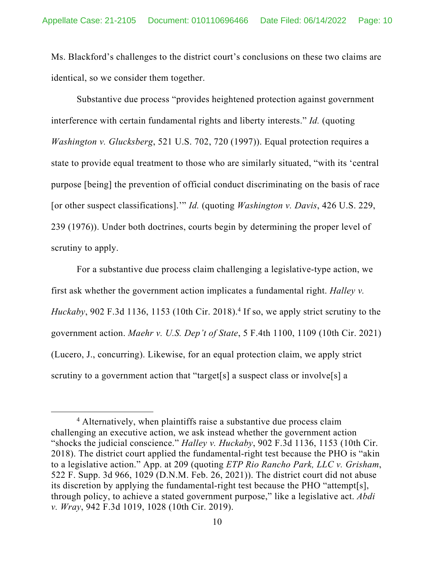Ms. Blackford's challenges to the district court's conclusions on these two claims are identical, so we consider them together.

Substantive due process "provides heightened protection against government interference with certain fundamental rights and liberty interests." *Id.* (quoting *Washington v. Glucksberg*, 521 U.S. 702, 720 (1997)). Equal protection requires a state to provide equal treatment to those who are similarly situated, "with its 'central purpose [being] the prevention of official conduct discriminating on the basis of race [or other suspect classifications].'" *Id.* (quoting *Washington v. Davis*, 426 U.S. 229, 239 (1976)). Under both doctrines, courts begin by determining the proper level of scrutiny to apply.

For a substantive due process claim challenging a legislative-type action, we first ask whether the government action implicates a fundamental right. *Halley v. Huckaby*, 902 F.3d 1136, 1153 (10th Cir. 2018).<sup>4</sup> If so, we apply strict scrutiny to the government action. *Maehr v. U.S. Dep't of State*, 5 F.4th 1100, 1109 (10th Cir. 2021) (Lucero, J., concurring). Likewise, for an equal protection claim, we apply strict scrutiny to a government action that "target[s] a suspect class or involve[s] a

<sup>&</sup>lt;sup>4</sup> Alternatively, when plaintiffs raise a substantive due process claim challenging an executive action, we ask instead whether the government action "shocks the judicial conscience." *Halley v. Huckaby*, 902 F.3d 1136, 1153 (10th Cir. 2018). The district court applied the fundamental-right test because the PHO is "akin to a legislative action." App. at 209 (quoting *ETP Rio Rancho Park, LLC v. Grisham*, 522 F. Supp. 3d 966, 1029 (D.N.M. Feb. 26, 2021)). The district court did not abuse its discretion by applying the fundamental-right test because the PHO "attempt[s], through policy, to achieve a stated government purpose," like a legislative act. *Abdi v. Wray*, 942 F.3d 1019, 1028 (10th Cir. 2019).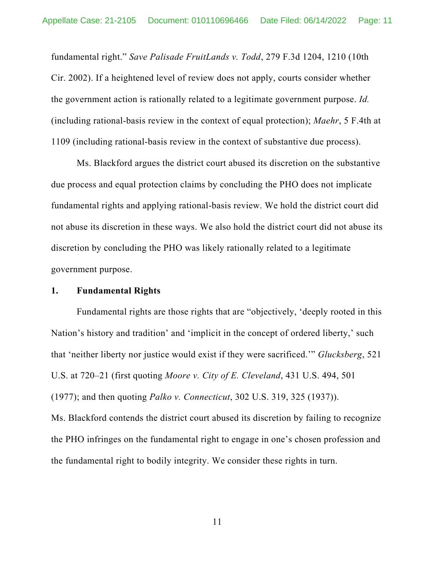fundamental right." *Save Palisade FruitLands v. Todd*, 279 F.3d 1204, 1210 (10th Cir. 2002). If a heightened level of review does not apply, courts consider whether the government action is rationally related to a legitimate government purpose. *Id.* (including rational-basis review in the context of equal protection); *Maehr*, 5 F.4th at 1109 (including rational-basis review in the context of substantive due process).

Ms. Blackford argues the district court abused its discretion on the substantive due process and equal protection claims by concluding the PHO does not implicate fundamental rights and applying rational-basis review. We hold the district court did not abuse its discretion in these ways. We also hold the district court did not abuse its discretion by concluding the PHO was likely rationally related to a legitimate government purpose.

#### **1. Fundamental Rights**

Fundamental rights are those rights that are "objectively, 'deeply rooted in this Nation's history and tradition' and 'implicit in the concept of ordered liberty,' such that 'neither liberty nor justice would exist if they were sacrificed.'" *Glucksberg*, 521 U.S. at 720–21 (first quoting *Moore v. City of E. Cleveland*, 431 U.S. 494, 501 (1977); and then quoting *Palko v. Connecticut*, 302 U.S. 319, 325 (1937)). Ms. Blackford contends the district court abused its discretion by failing to recognize the PHO infringes on the fundamental right to engage in one's chosen profession and the fundamental right to bodily integrity. We consider these rights in turn.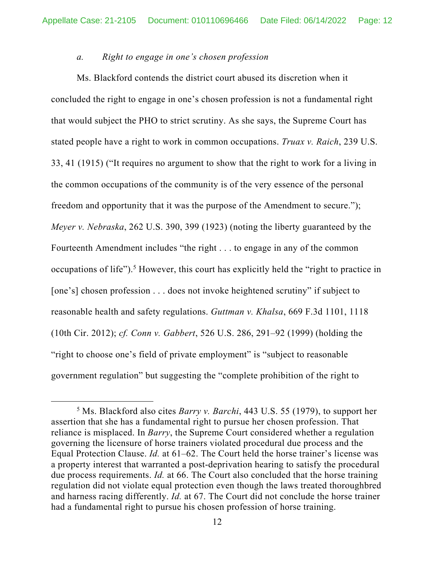## *a. Right to engage in one's chosen profession*

Ms. Blackford contends the district court abused its discretion when it concluded the right to engage in one's chosen profession is not a fundamental right that would subject the PHO to strict scrutiny. As she says, the Supreme Court has stated people have a right to work in common occupations. *Truax v. Raich*, 239 U.S. 33, 41 (1915) ("It requires no argument to show that the right to work for a living in the common occupations of the community is of the very essence of the personal freedom and opportunity that it was the purpose of the Amendment to secure."); *Meyer v. Nebraska*, 262 U.S. 390, 399 (1923) (noting the liberty guaranteed by the Fourteenth Amendment includes "the right . . . to engage in any of the common occupations of life").<sup>5</sup> However, this court has explicitly held the "right to practice in [one's] chosen profession . . . does not invoke heightened scrutiny" if subject to reasonable health and safety regulations. *Guttman v. Khalsa*, 669 F.3d 1101, 1118 (10th Cir. 2012); *cf. Conn v. Gabbert*, 526 U.S. 286, 291–92 (1999) (holding the "right to choose one's field of private employment" is "subject to reasonable government regulation" but suggesting the "complete prohibition of the right to

<sup>5</sup> Ms. Blackford also cites *Barry v. Barchi*, 443 U.S. 55 (1979), to support her assertion that she has a fundamental right to pursue her chosen profession. That reliance is misplaced. In *Barry*, the Supreme Court considered whether a regulation governing the licensure of horse trainers violated procedural due process and the Equal Protection Clause. *Id.* at 61–62. The Court held the horse trainer's license was a property interest that warranted a post-deprivation hearing to satisfy the procedural due process requirements. *Id.* at 66. The Court also concluded that the horse training regulation did not violate equal protection even though the laws treated thoroughbred and harness racing differently. *Id.* at 67. The Court did not conclude the horse trainer had a fundamental right to pursue his chosen profession of horse training.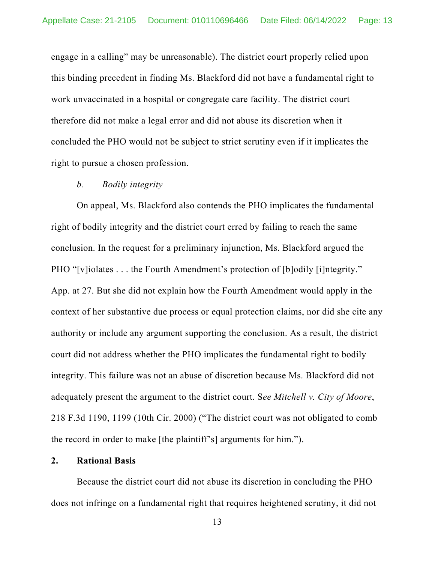engage in a calling" may be unreasonable). The district court properly relied upon this binding precedent in finding Ms. Blackford did not have a fundamental right to work unvaccinated in a hospital or congregate care facility. The district court therefore did not make a legal error and did not abuse its discretion when it concluded the PHO would not be subject to strict scrutiny even if it implicates the right to pursue a chosen profession.

#### *b. Bodily integrity*

On appeal, Ms. Blackford also contends the PHO implicates the fundamental right of bodily integrity and the district court erred by failing to reach the same conclusion. In the request for a preliminary injunction, Ms. Blackford argued the PHO "[v]iolates . . . the Fourth Amendment's protection of [b]odily [i]ntegrity." App. at 27. But she did not explain how the Fourth Amendment would apply in the context of her substantive due process or equal protection claims, nor did she cite any authority or include any argument supporting the conclusion. As a result, the district court did not address whether the PHO implicates the fundamental right to bodily integrity. This failure was not an abuse of discretion because Ms. Blackford did not adequately present the argument to the district court. S*ee Mitchell v. City of Moore*, 218 F.3d 1190, 1199 (10th Cir. 2000) ("The district court was not obligated to comb the record in order to make [the plaintiff's] arguments for him.").

#### **2. Rational Basis**

Because the district court did not abuse its discretion in concluding the PHO does not infringe on a fundamental right that requires heightened scrutiny, it did not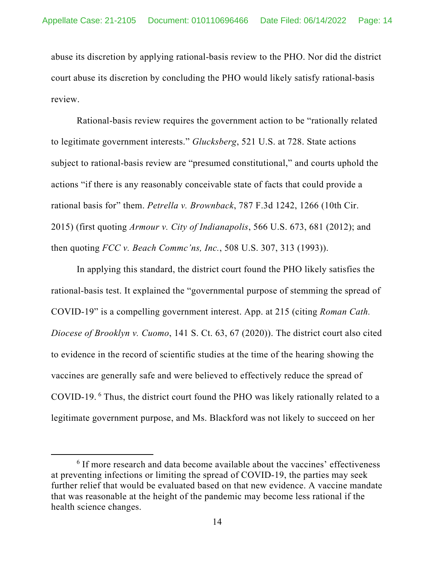abuse its discretion by applying rational-basis review to the PHO. Nor did the district court abuse its discretion by concluding the PHO would likely satisfy rational-basis review.

Rational-basis review requires the government action to be "rationally related to legitimate government interests." *Glucksberg*, 521 U.S. at 728. State actions subject to rational-basis review are "presumed constitutional," and courts uphold the actions "if there is any reasonably conceivable state of facts that could provide a rational basis for" them. *Petrella v. Brownback*, 787 F.3d 1242, 1266 (10th Cir. 2015) (first quoting *Armour v. City of Indianapolis*, 566 U.S. 673, 681 (2012); and then quoting *FCC v. Beach Commc'ns, Inc.*, 508 U.S. 307, 313 (1993)).

In applying this standard, the district court found the PHO likely satisfies the rational-basis test. It explained the "governmental purpose of stemming the spread of COVID-19" is a compelling government interest. App. at 215 (citing *Roman Cath. Diocese of Brooklyn v. Cuomo*, 141 S. Ct. 63, 67 (2020)). The district court also cited to evidence in the record of scientific studies at the time of the hearing showing the vaccines are generally safe and were believed to effectively reduce the spread of COVID-19. 6 Thus, the district court found the PHO was likely rationally related to a legitimate government purpose, and Ms. Blackford was not likely to succeed on her

<sup>&</sup>lt;sup>6</sup> If more research and data become available about the vaccines' effectiveness at preventing infections or limiting the spread of COVID-19, the parties may seek further relief that would be evaluated based on that new evidence. A vaccine mandate that was reasonable at the height of the pandemic may become less rational if the health science changes.